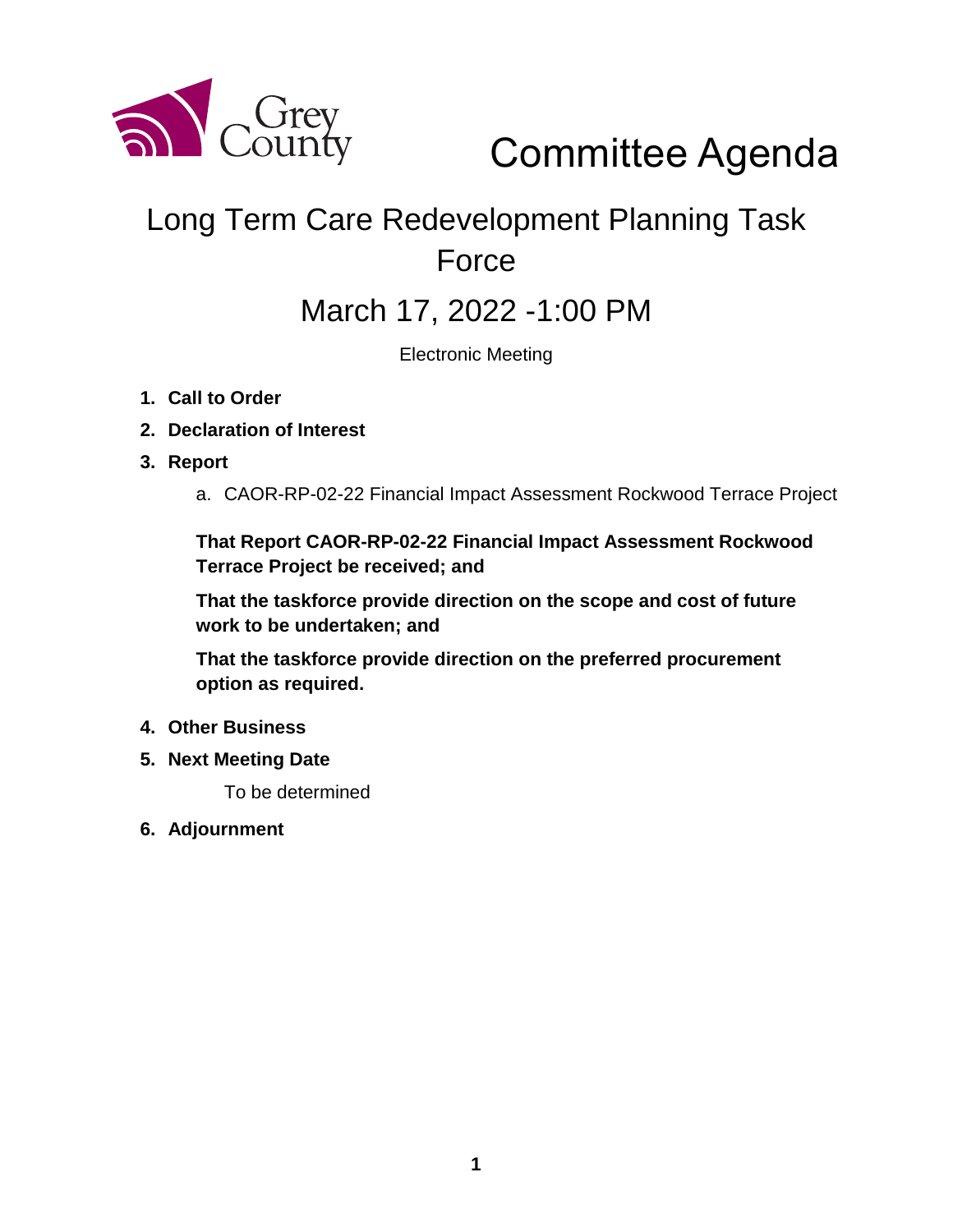

# Committee Agenda

# Long Term Care Redevelopment Planning Task Force

# March 17, 2022 -1:00 PM

Electronic Meeting

- **1. Call to Order**
- **2. Declaration of Interest**
- **3. Report**
	- a. CAOR-RP-02-22 Financial Impact Assessment Rockwood Terrace Project

**That Report CAOR-RP-02-22 Financial Impact Assessment Rockwood Terrace Project be received; and** 

**That the taskforce provide direction on the scope and cost of future work to be undertaken; and**

**That the taskforce provide direction on the preferred procurement option as required.** 

- **4. Other Business**
- **5. Next Meeting Date**

To be determined

**6. Adjournment**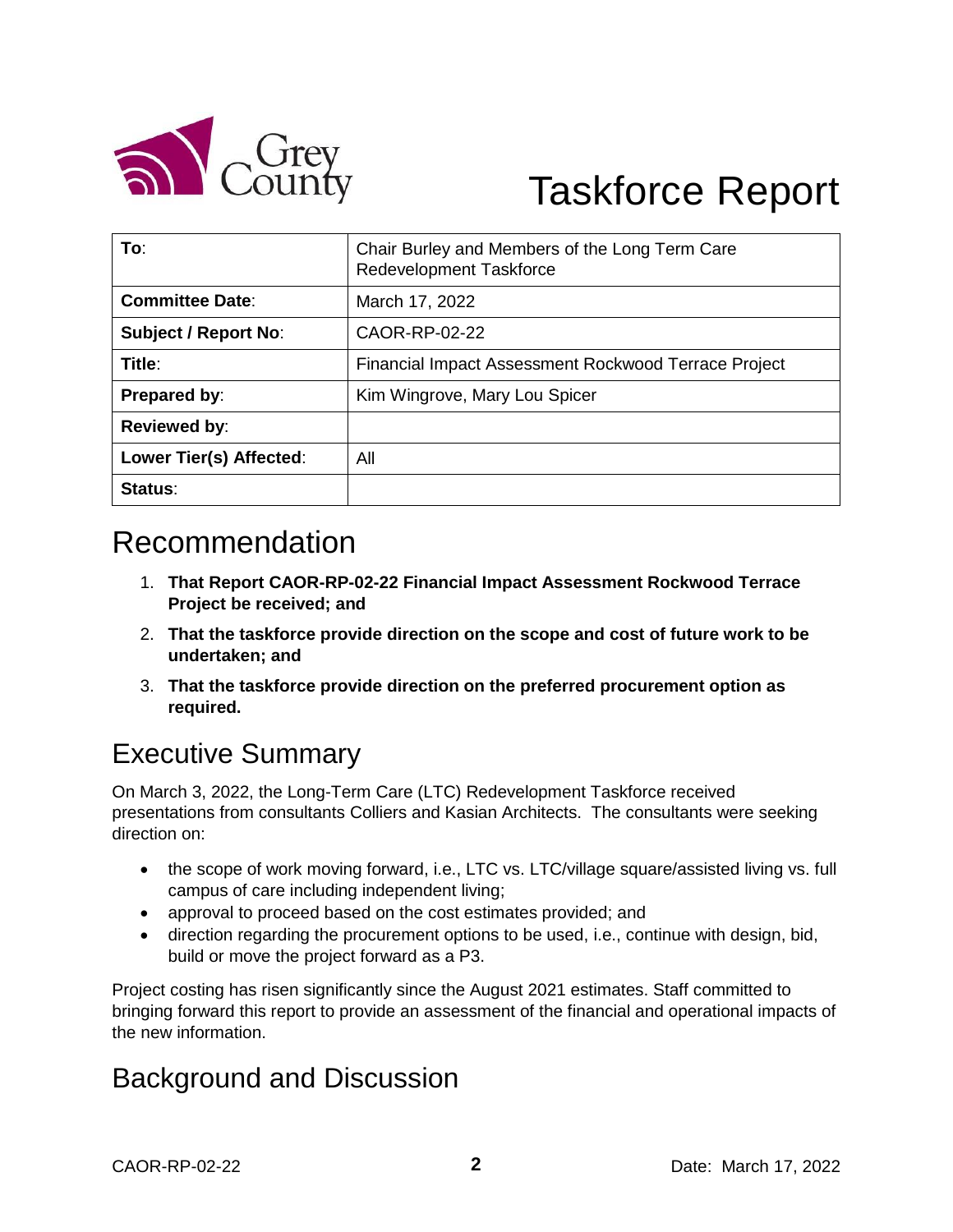

# Taskforce Report

| To:                         | Chair Burley and Members of the Long Term Care<br>Redevelopment Taskforce |
|-----------------------------|---------------------------------------------------------------------------|
| <b>Committee Date:</b>      | March 17, 2022                                                            |
| <b>Subject / Report No:</b> | CAOR-RP-02-22                                                             |
| Title:                      | Financial Impact Assessment Rockwood Terrace Project                      |
| Prepared by:                | Kim Wingrove, Mary Lou Spicer                                             |
| Reviewed by:                |                                                                           |
| Lower Tier(s) Affected:     | All                                                                       |
| Status:                     |                                                                           |

# Recommendation

- 1. **That Report CAOR-RP-02-22 Financial Impact Assessment Rockwood Terrace Project be received; and**
- 2. **That the taskforce provide direction on the scope and cost of future work to be undertaken; and**
- 3. **That the taskforce provide direction on the preferred procurement option as required.**

## Executive Summary

On March 3, 2022, the Long-Term Care (LTC) Redevelopment Taskforce received presentations from consultants Colliers and Kasian Architects. The consultants were seeking direction on:

- the scope of work moving forward, i.e., LTC vs. LTC/village square/assisted living vs. full campus of care including independent living;
- approval to proceed based on the cost estimates provided; and
- direction regarding the procurement options to be used, i.e., continue with design, bid, build or move the project forward as a P3.

Project costing has risen significantly since the August 2021 estimates. Staff committed to bringing forward this report to provide an assessment of the financial and operational impacts of the new information.

## Background and Discussion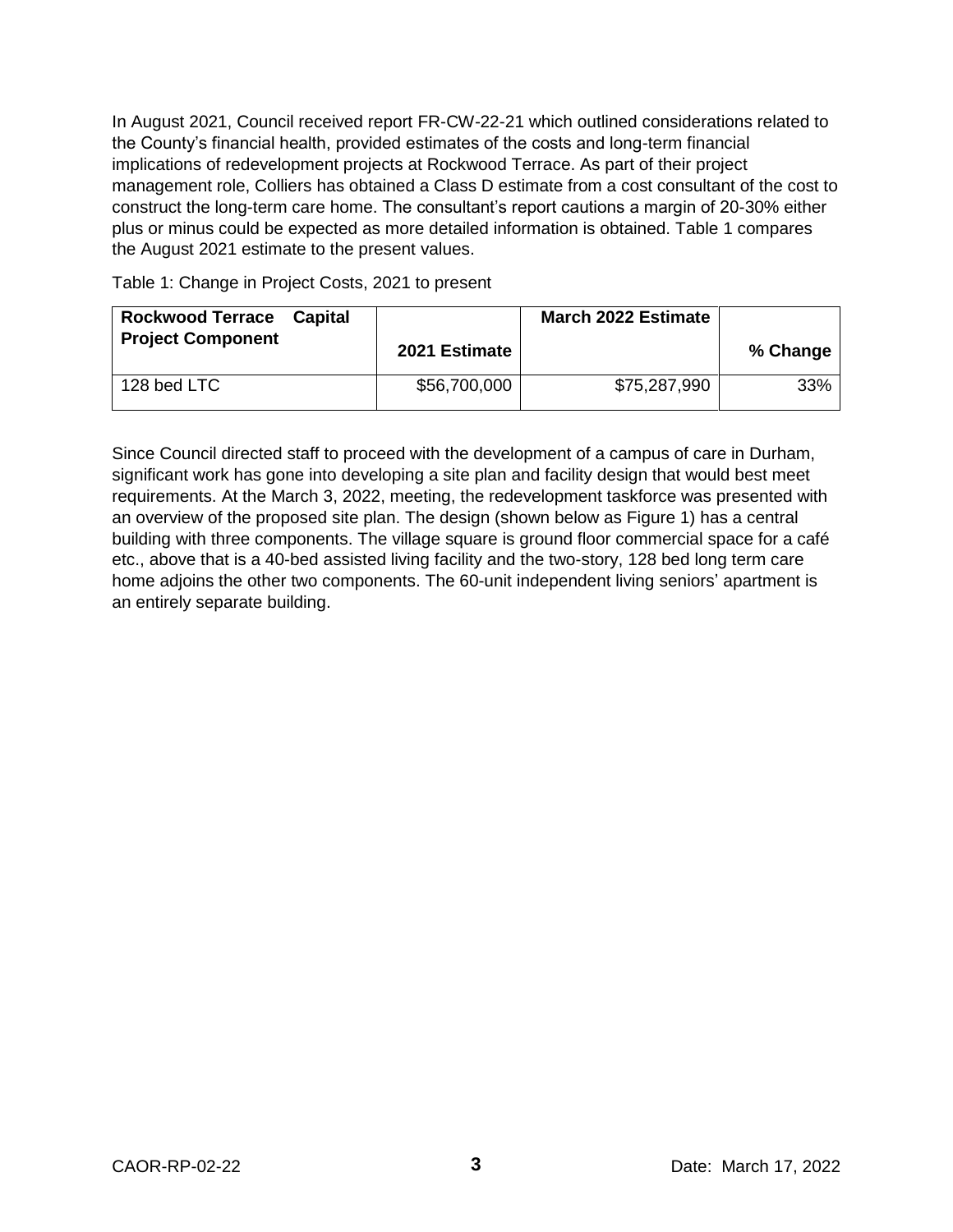In August 2021, Council received report FR-CW-22-21 which outlined considerations related to the County's financial health, provided estimates of the costs and long-term financial implications of redevelopment projects at Rockwood Terrace. As part of their project management role, Colliers has obtained a Class D estimate from a cost consultant of the cost to construct the long-term care home. The consultant's report cautions a margin of 20-30% either plus or minus could be expected as more detailed information is obtained. Table 1 compares the August 2021 estimate to the present values.

Table 1: Change in Project Costs, 2021 to present

| <b>Rockwood Terrace Capital</b><br><b>Project Component</b> | 2021 Estimate | March 2022 Estimate | % Change |
|-------------------------------------------------------------|---------------|---------------------|----------|
| 128 bed LTC                                                 | \$56,700,000  | \$75,287,990        | 33%      |

Since Council directed staff to proceed with the development of a campus of care in Durham, significant work has gone into developing a site plan and facility design that would best meet requirements. At the March 3, 2022, meeting, the redevelopment taskforce was presented with an overview of the proposed site plan. The design (shown below as Figure 1) has a central building with three components. The village square is ground floor commercial space for a café etc., above that is a 40-bed assisted living facility and the two-story, 128 bed long term care home adjoins the other two components. The 60-unit independent living seniors' apartment is an entirely separate building.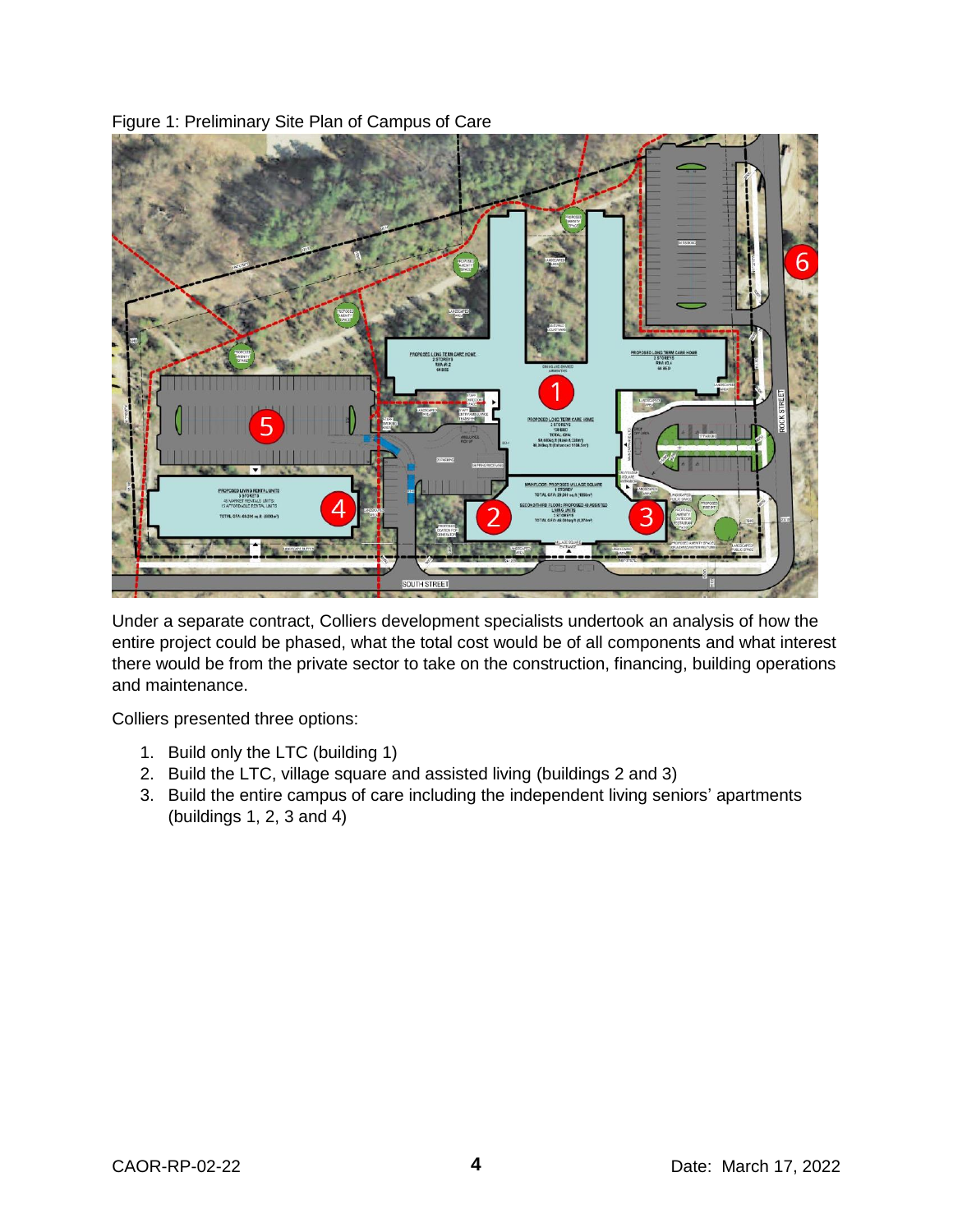

Figure 1: Preliminary Site Plan of Campus of Care

Under a separate contract, Colliers development specialists undertook an analysis of how the entire project could be phased, what the total cost would be of all components and what interest there would be from the private sector to take on the construction, financing, building operations and maintenance.

Colliers presented three options:

- 1. Build only the LTC (building 1)
- 2. Build the LTC, village square and assisted living (buildings 2 and 3)
- 3. Build the entire campus of care including the independent living seniors' apartments (buildings 1, 2, 3 and 4)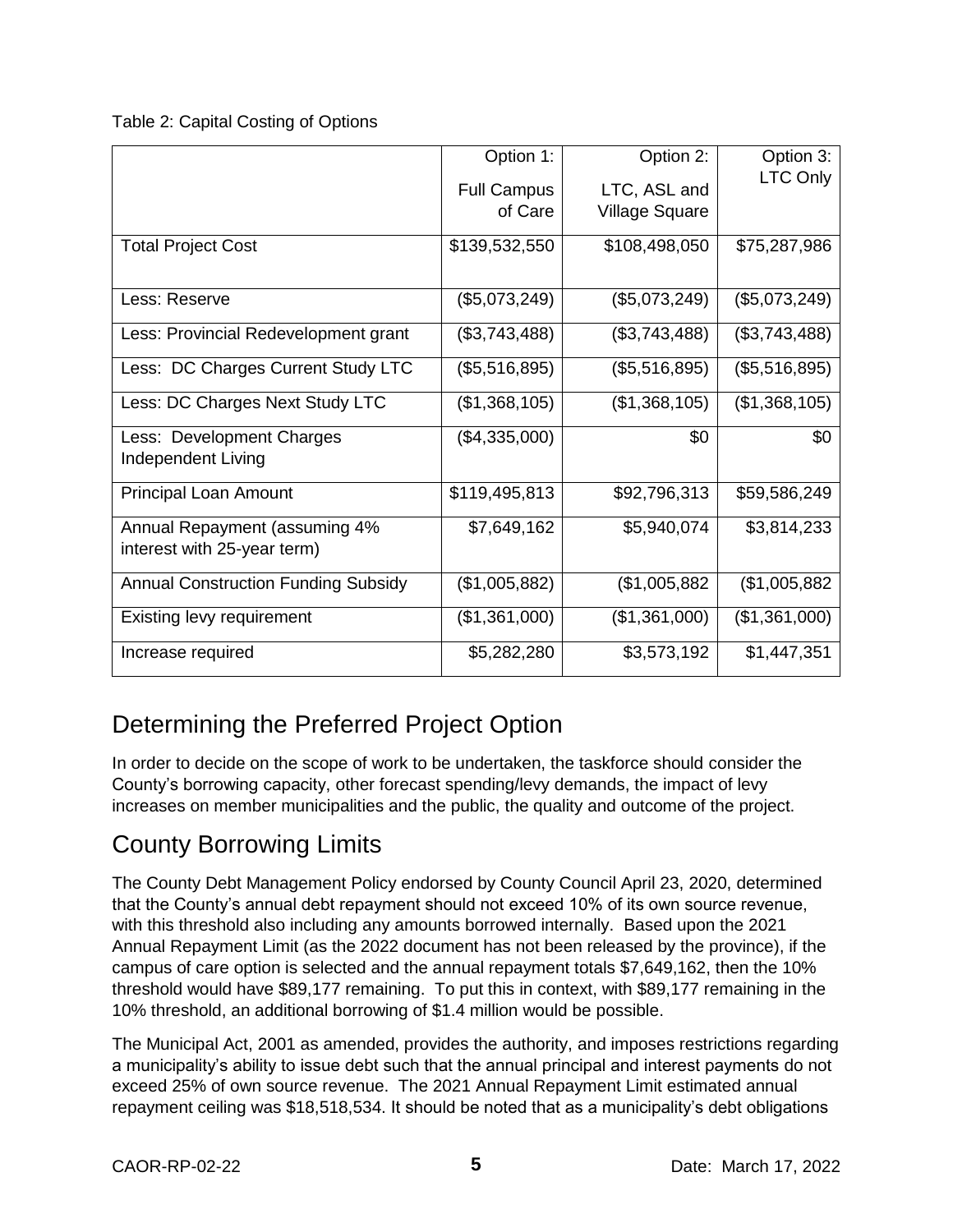Table 2: Capital Costing of Options

|                                            | Option 1:          | Option 2:             | Option 3:     |
|--------------------------------------------|--------------------|-----------------------|---------------|
|                                            | <b>Full Campus</b> | LTC, ASL and          | LTC Only      |
|                                            | of Care            | <b>Village Square</b> |               |
|                                            |                    |                       |               |
| <b>Total Project Cost</b>                  | \$139,532,550      | \$108,498,050         | \$75,287,986  |
|                                            |                    |                       |               |
| Less: Reserve                              | (\$5,073,249)      | (\$5,073,249)         | (\$5,073,249) |
| Less: Provincial Redevelopment grant       | (\$3,743,488)      | (\$3,743,488)         | (\$3,743,488) |
|                                            |                    |                       |               |
| Less: DC Charges Current Study LTC         | (\$5,516,895)      | (\$5,516,895)         | (\$5,516,895) |
| Less: DC Charges Next Study LTC            | (\$1,368,105)      | (\$1,368,105)         | (\$1,368,105) |
| Less: Development Charges                  | (\$4,335,000)      | \$0                   | \$0           |
| Independent Living                         |                    |                       |               |
|                                            |                    |                       |               |
| Principal Loan Amount                      | \$119,495,813      | \$92,796,313          | \$59,586,249  |
| Annual Repayment (assuming 4%              | \$7,649,162        | \$5,940,074           | \$3,814,233   |
| interest with 25-year term)                |                    |                       |               |
|                                            |                    |                       |               |
| <b>Annual Construction Funding Subsidy</b> | (\$1,005,882)      | (\$1,005,882          | (\$1,005,882) |
| Existing levy requirement                  | (\$1,361,000)      | (\$1,361,000)         | (\$1,361,000) |
| Increase required                          | \$5,282,280        | \$3,573,192           | \$1,447,351   |
|                                            |                    |                       |               |

## Determining the Preferred Project Option

In order to decide on the scope of work to be undertaken, the taskforce should consider the County's borrowing capacity, other forecast spending/levy demands, the impact of levy increases on member municipalities and the public, the quality and outcome of the project.

### County Borrowing Limits

The County Debt Management Policy endorsed by County Council April 23, 2020, determined that the County's annual debt repayment should not exceed 10% of its own source revenue, with this threshold also including any amounts borrowed internally. Based upon the 2021 Annual Repayment Limit (as the 2022 document has not been released by the province), if the campus of care option is selected and the annual repayment totals \$7,649,162, then the 10% threshold would have \$89,177 remaining. To put this in context, with \$89,177 remaining in the 10% threshold, an additional borrowing of \$1.4 million would be possible.

The Municipal Act, 2001 as amended, provides the authority, and imposes restrictions regarding a municipality's ability to issue debt such that the annual principal and interest payments do not exceed 25% of own source revenue. The 2021 Annual Repayment Limit estimated annual repayment ceiling was \$18,518,534. It should be noted that as a municipality's debt obligations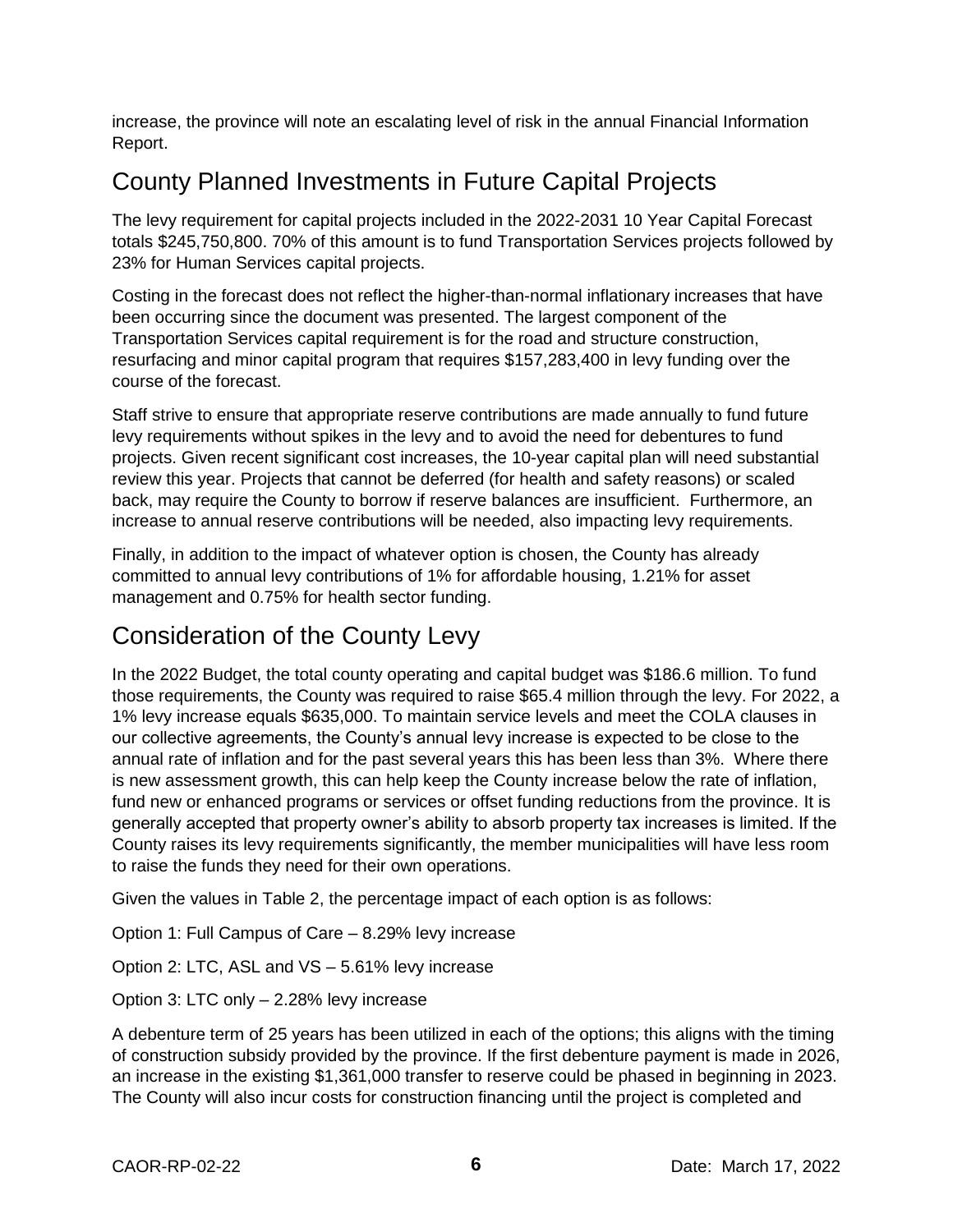increase, the province will note an escalating level of risk in the annual Financial Information Report.

## County Planned Investments in Future Capital Projects

The levy requirement for capital projects included in the 2022-2031 10 Year Capital Forecast totals \$245,750,800. 70% of this amount is to fund Transportation Services projects followed by 23% for Human Services capital projects.

Costing in the forecast does not reflect the higher-than-normal inflationary increases that have been occurring since the document was presented. The largest component of the Transportation Services capital requirement is for the road and structure construction, resurfacing and minor capital program that requires \$157,283,400 in levy funding over the course of the forecast.

Staff strive to ensure that appropriate reserve contributions are made annually to fund future levy requirements without spikes in the levy and to avoid the need for debentures to fund projects. Given recent significant cost increases, the 10-year capital plan will need substantial review this year. Projects that cannot be deferred (for health and safety reasons) or scaled back, may require the County to borrow if reserve balances are insufficient. Furthermore, an increase to annual reserve contributions will be needed, also impacting levy requirements.

Finally, in addition to the impact of whatever option is chosen, the County has already committed to annual levy contributions of 1% for affordable housing, 1.21% for asset management and 0.75% for health sector funding.

#### Consideration of the County Levy

In the 2022 Budget, the total county operating and capital budget was \$186.6 million. To fund those requirements, the County was required to raise \$65.4 million through the levy. For 2022, a 1% levy increase equals \$635,000. To maintain service levels and meet the COLA clauses in our collective agreements, the County's annual levy increase is expected to be close to the annual rate of inflation and for the past several years this has been less than 3%. Where there is new assessment growth, this can help keep the County increase below the rate of inflation, fund new or enhanced programs or services or offset funding reductions from the province. It is generally accepted that property owner's ability to absorb property tax increases is limited. If the County raises its levy requirements significantly, the member municipalities will have less room to raise the funds they need for their own operations.

Given the values in Table 2, the percentage impact of each option is as follows:

Option 1: Full Campus of Care – 8.29% levy increase

Option 2: LTC, ASL and VS – 5.61% levy increase

Option 3: LTC only – 2.28% levy increase

A debenture term of 25 years has been utilized in each of the options; this aligns with the timing of construction subsidy provided by the province. If the first debenture payment is made in 2026, an increase in the existing \$1,361,000 transfer to reserve could be phased in beginning in 2023. The County will also incur costs for construction financing until the project is completed and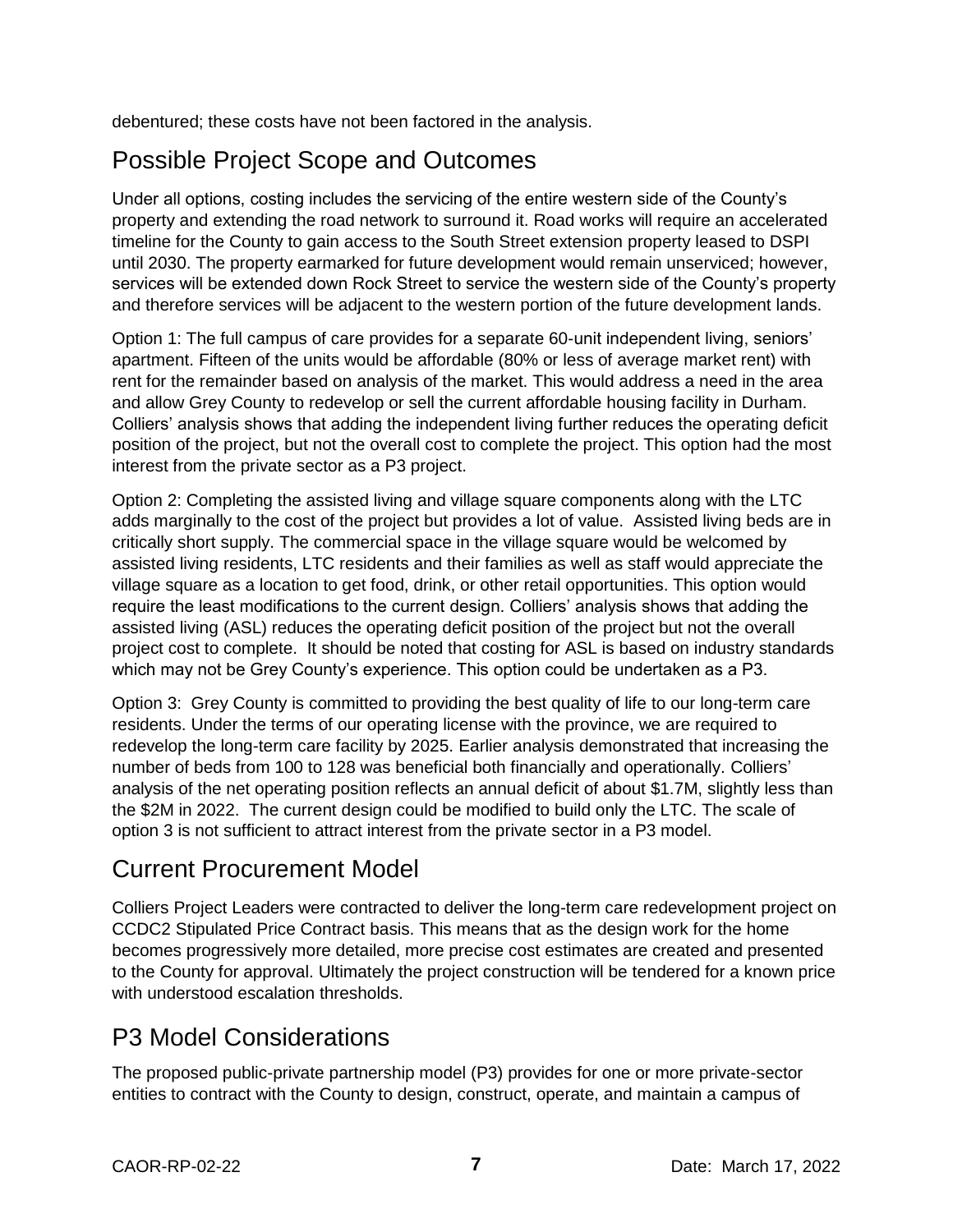debentured; these costs have not been factored in the analysis.

## Possible Project Scope and Outcomes

Under all options, costing includes the servicing of the entire western side of the County's property and extending the road network to surround it. Road works will require an accelerated timeline for the County to gain access to the South Street extension property leased to DSPI until 2030. The property earmarked for future development would remain unserviced; however, services will be extended down Rock Street to service the western side of the County's property and therefore services will be adjacent to the western portion of the future development lands.

Option 1: The full campus of care provides for a separate 60-unit independent living, seniors' apartment. Fifteen of the units would be affordable (80% or less of average market rent) with rent for the remainder based on analysis of the market. This would address a need in the area and allow Grey County to redevelop or sell the current affordable housing facility in Durham. Colliers' analysis shows that adding the independent living further reduces the operating deficit position of the project, but not the overall cost to complete the project. This option had the most interest from the private sector as a P3 project.

Option 2: Completing the assisted living and village square components along with the LTC adds marginally to the cost of the project but provides a lot of value. Assisted living beds are in critically short supply. The commercial space in the village square would be welcomed by assisted living residents, LTC residents and their families as well as staff would appreciate the village square as a location to get food, drink, or other retail opportunities. This option would require the least modifications to the current design. Colliers' analysis shows that adding the assisted living (ASL) reduces the operating deficit position of the project but not the overall project cost to complete. It should be noted that costing for ASL is based on industry standards which may not be Grey County's experience. This option could be undertaken as a P3.

Option 3: Grey County is committed to providing the best quality of life to our long-term care residents. Under the terms of our operating license with the province, we are required to redevelop the long-term care facility by 2025. Earlier analysis demonstrated that increasing the number of beds from 100 to 128 was beneficial both financially and operationally. Colliers' analysis of the net operating position reflects an annual deficit of about \$1.7M, slightly less than the \$2M in 2022. The current design could be modified to build only the LTC. The scale of option 3 is not sufficient to attract interest from the private sector in a P3 model.

#### Current Procurement Model

Colliers Project Leaders were contracted to deliver the long-term care redevelopment project on CCDC2 Stipulated Price Contract basis. This means that as the design work for the home becomes progressively more detailed, more precise cost estimates are created and presented to the County for approval. Ultimately the project construction will be tendered for a known price with understood escalation thresholds.

#### P3 Model Considerations

The proposed public-private partnership model (P3) provides for one or more private-sector entities to contract with the County to design, construct, operate, and maintain a campus of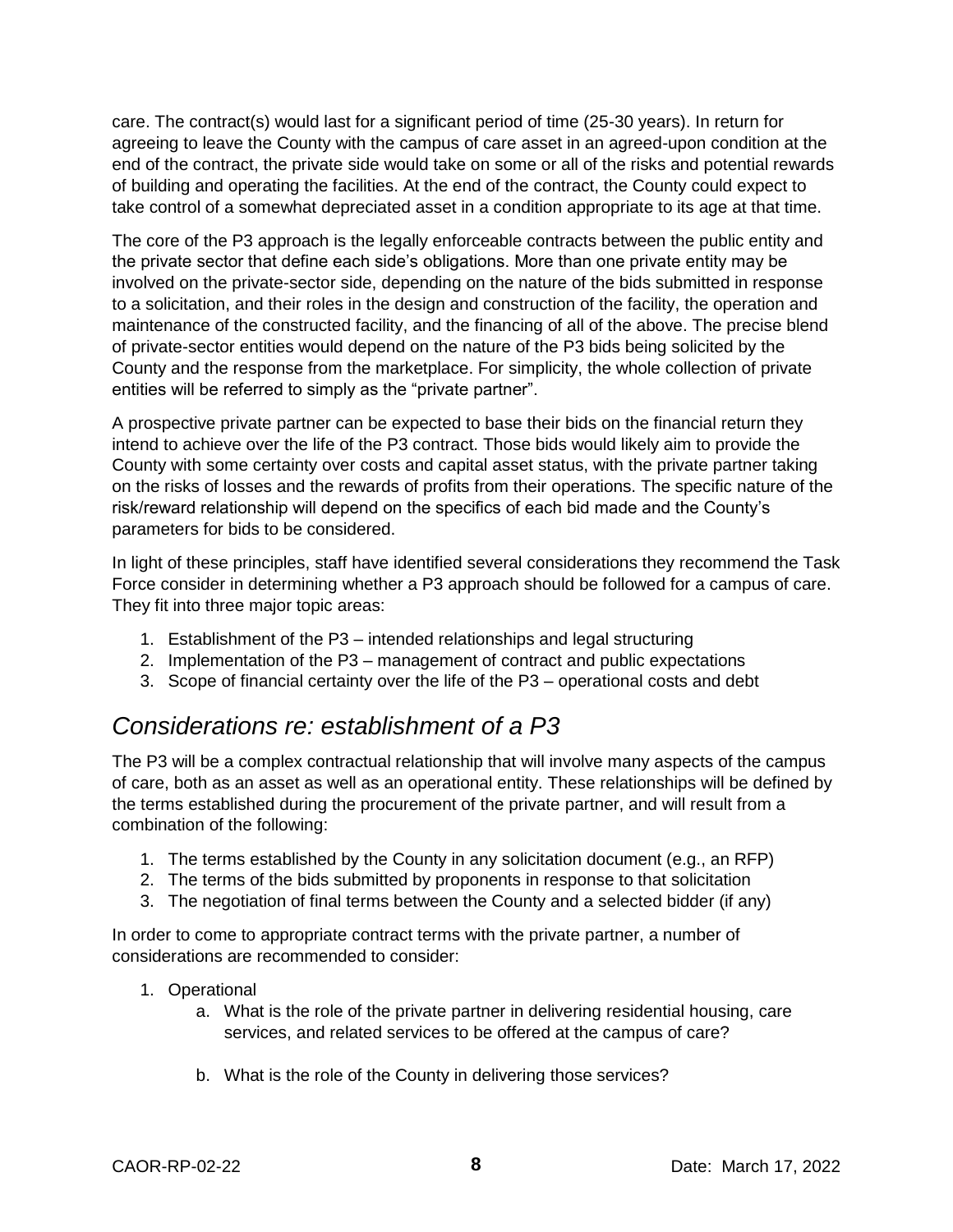care. The contract(s) would last for a significant period of time (25-30 years). In return for agreeing to leave the County with the campus of care asset in an agreed-upon condition at the end of the contract, the private side would take on some or all of the risks and potential rewards of building and operating the facilities. At the end of the contract, the County could expect to take control of a somewhat depreciated asset in a condition appropriate to its age at that time.

The core of the P3 approach is the legally enforceable contracts between the public entity and the private sector that define each side's obligations. More than one private entity may be involved on the private-sector side, depending on the nature of the bids submitted in response to a solicitation, and their roles in the design and construction of the facility, the operation and maintenance of the constructed facility, and the financing of all of the above. The precise blend of private-sector entities would depend on the nature of the P3 bids being solicited by the County and the response from the marketplace. For simplicity, the whole collection of private entities will be referred to simply as the "private partner".

A prospective private partner can be expected to base their bids on the financial return they intend to achieve over the life of the P3 contract. Those bids would likely aim to provide the County with some certainty over costs and capital asset status, with the private partner taking on the risks of losses and the rewards of profits from their operations. The specific nature of the risk/reward relationship will depend on the specifics of each bid made and the County's parameters for bids to be considered.

In light of these principles, staff have identified several considerations they recommend the Task Force consider in determining whether a P3 approach should be followed for a campus of care. They fit into three major topic areas:

- 1. Establishment of the P3 intended relationships and legal structuring
- 2. Implementation of the P3 management of contract and public expectations
- 3. Scope of financial certainty over the life of the P3 operational costs and debt

#### *Considerations re: establishment of a P3*

The P3 will be a complex contractual relationship that will involve many aspects of the campus of care, both as an asset as well as an operational entity. These relationships will be defined by the terms established during the procurement of the private partner, and will result from a combination of the following:

- 1. The terms established by the County in any solicitation document (e.g., an RFP)
- 2. The terms of the bids submitted by proponents in response to that solicitation
- 3. The negotiation of final terms between the County and a selected bidder (if any)

In order to come to appropriate contract terms with the private partner, a number of considerations are recommended to consider:

- 1. Operational
	- a. What is the role of the private partner in delivering residential housing, care services, and related services to be offered at the campus of care?
	- b. What is the role of the County in delivering those services?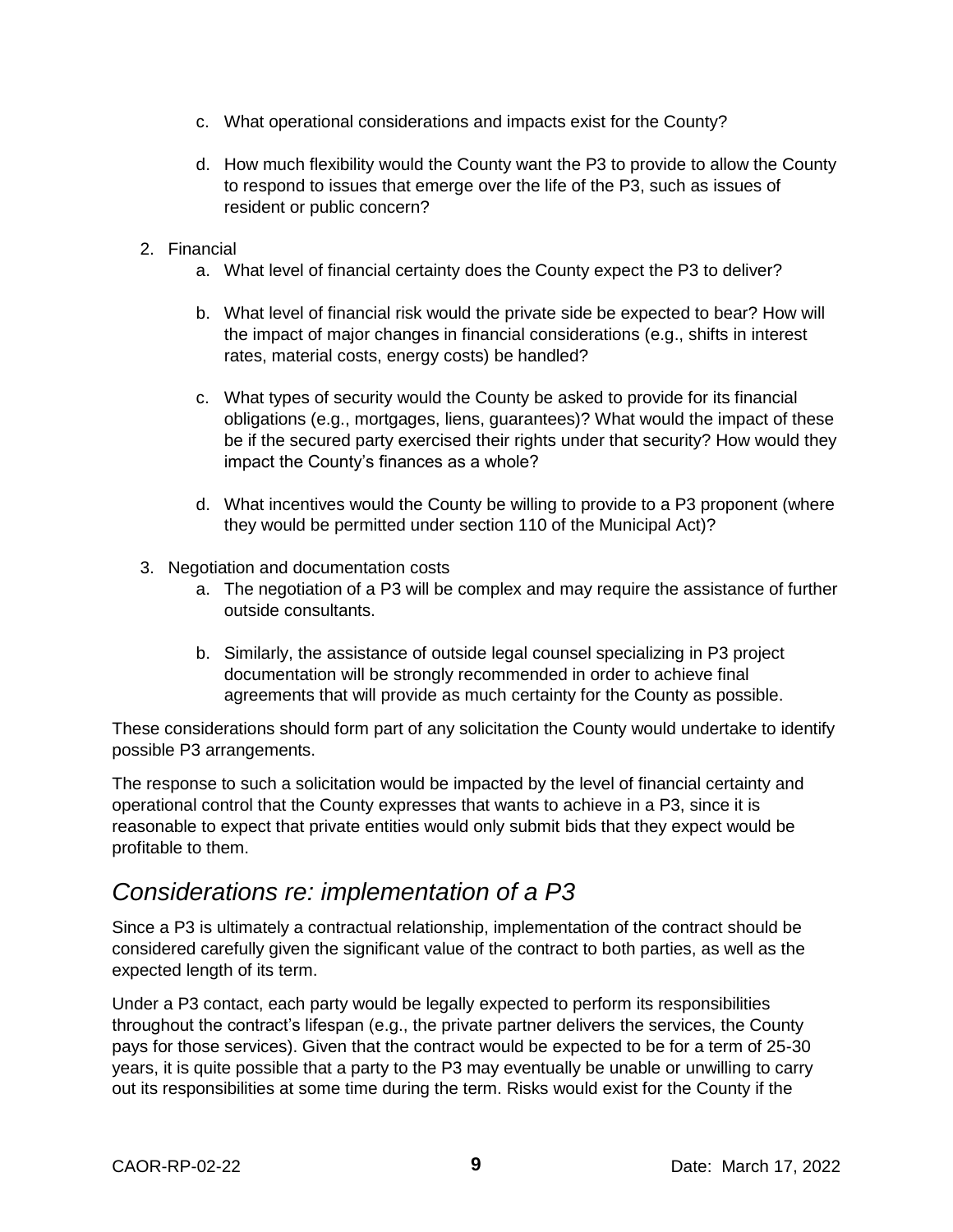- c. What operational considerations and impacts exist for the County?
- d. How much flexibility would the County want the P3 to provide to allow the County to respond to issues that emerge over the life of the P3, such as issues of resident or public concern?
- 2. Financial
	- a. What level of financial certainty does the County expect the P3 to deliver?
	- b. What level of financial risk would the private side be expected to bear? How will the impact of major changes in financial considerations (e.g., shifts in interest rates, material costs, energy costs) be handled?
	- c. What types of security would the County be asked to provide for its financial obligations (e.g., mortgages, liens, guarantees)? What would the impact of these be if the secured party exercised their rights under that security? How would they impact the County's finances as a whole?
	- d. What incentives would the County be willing to provide to a P3 proponent (where they would be permitted under section 110 of the Municipal Act)?
- 3. Negotiation and documentation costs
	- a. The negotiation of a P3 will be complex and may require the assistance of further outside consultants.
	- b. Similarly, the assistance of outside legal counsel specializing in P3 project documentation will be strongly recommended in order to achieve final agreements that will provide as much certainty for the County as possible.

These considerations should form part of any solicitation the County would undertake to identify possible P3 arrangements.

The response to such a solicitation would be impacted by the level of financial certainty and operational control that the County expresses that wants to achieve in a P3, since it is reasonable to expect that private entities would only submit bids that they expect would be profitable to them.

#### *Considerations re: implementation of a P3*

Since a P3 is ultimately a contractual relationship, implementation of the contract should be considered carefully given the significant value of the contract to both parties, as well as the expected length of its term.

Under a P3 contact, each party would be legally expected to perform its responsibilities throughout the contract's lifespan (e.g., the private partner delivers the services, the County pays for those services). Given that the contract would be expected to be for a term of 25-30 years, it is quite possible that a party to the P3 may eventually be unable or unwilling to carry out its responsibilities at some time during the term. Risks would exist for the County if the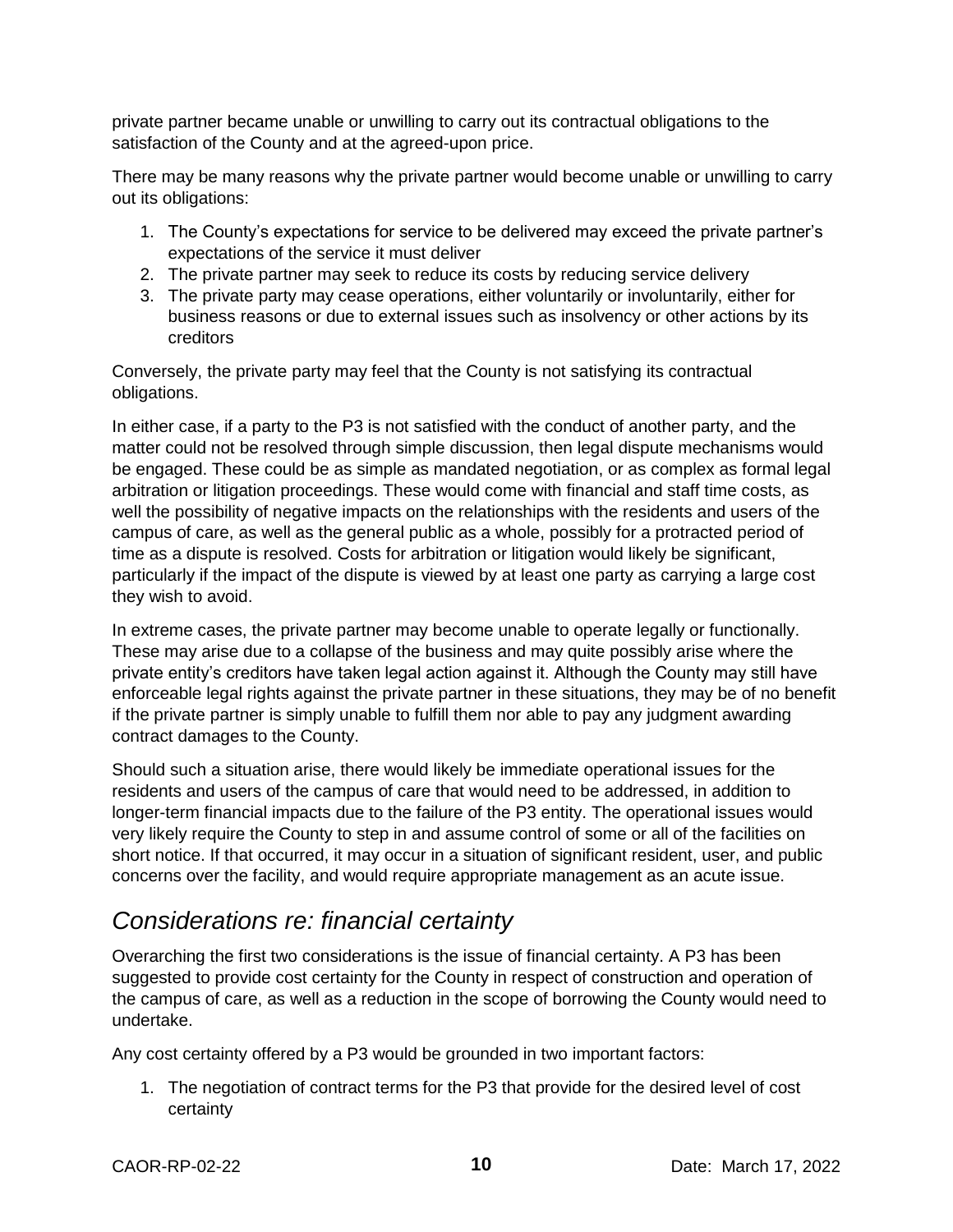private partner became unable or unwilling to carry out its contractual obligations to the satisfaction of the County and at the agreed-upon price.

There may be many reasons why the private partner would become unable or unwilling to carry out its obligations:

- 1. The County's expectations for service to be delivered may exceed the private partner's expectations of the service it must deliver
- 2. The private partner may seek to reduce its costs by reducing service delivery
- 3. The private party may cease operations, either voluntarily or involuntarily, either for business reasons or due to external issues such as insolvency or other actions by its creditors

Conversely, the private party may feel that the County is not satisfying its contractual obligations.

In either case, if a party to the P3 is not satisfied with the conduct of another party, and the matter could not be resolved through simple discussion, then legal dispute mechanisms would be engaged. These could be as simple as mandated negotiation, or as complex as formal legal arbitration or litigation proceedings. These would come with financial and staff time costs, as well the possibility of negative impacts on the relationships with the residents and users of the campus of care, as well as the general public as a whole, possibly for a protracted period of time as a dispute is resolved. Costs for arbitration or litigation would likely be significant, particularly if the impact of the dispute is viewed by at least one party as carrying a large cost they wish to avoid.

In extreme cases, the private partner may become unable to operate legally or functionally. These may arise due to a collapse of the business and may quite possibly arise where the private entity's creditors have taken legal action against it. Although the County may still have enforceable legal rights against the private partner in these situations, they may be of no benefit if the private partner is simply unable to fulfill them nor able to pay any judgment awarding contract damages to the County.

Should such a situation arise, there would likely be immediate operational issues for the residents and users of the campus of care that would need to be addressed, in addition to longer-term financial impacts due to the failure of the P3 entity. The operational issues would very likely require the County to step in and assume control of some or all of the facilities on short notice. If that occurred, it may occur in a situation of significant resident, user, and public concerns over the facility, and would require appropriate management as an acute issue.

#### *Considerations re: financial certainty*

Overarching the first two considerations is the issue of financial certainty. A P3 has been suggested to provide cost certainty for the County in respect of construction and operation of the campus of care, as well as a reduction in the scope of borrowing the County would need to undertake.

Any cost certainty offered by a P3 would be grounded in two important factors:

1. The negotiation of contract terms for the P3 that provide for the desired level of cost certainty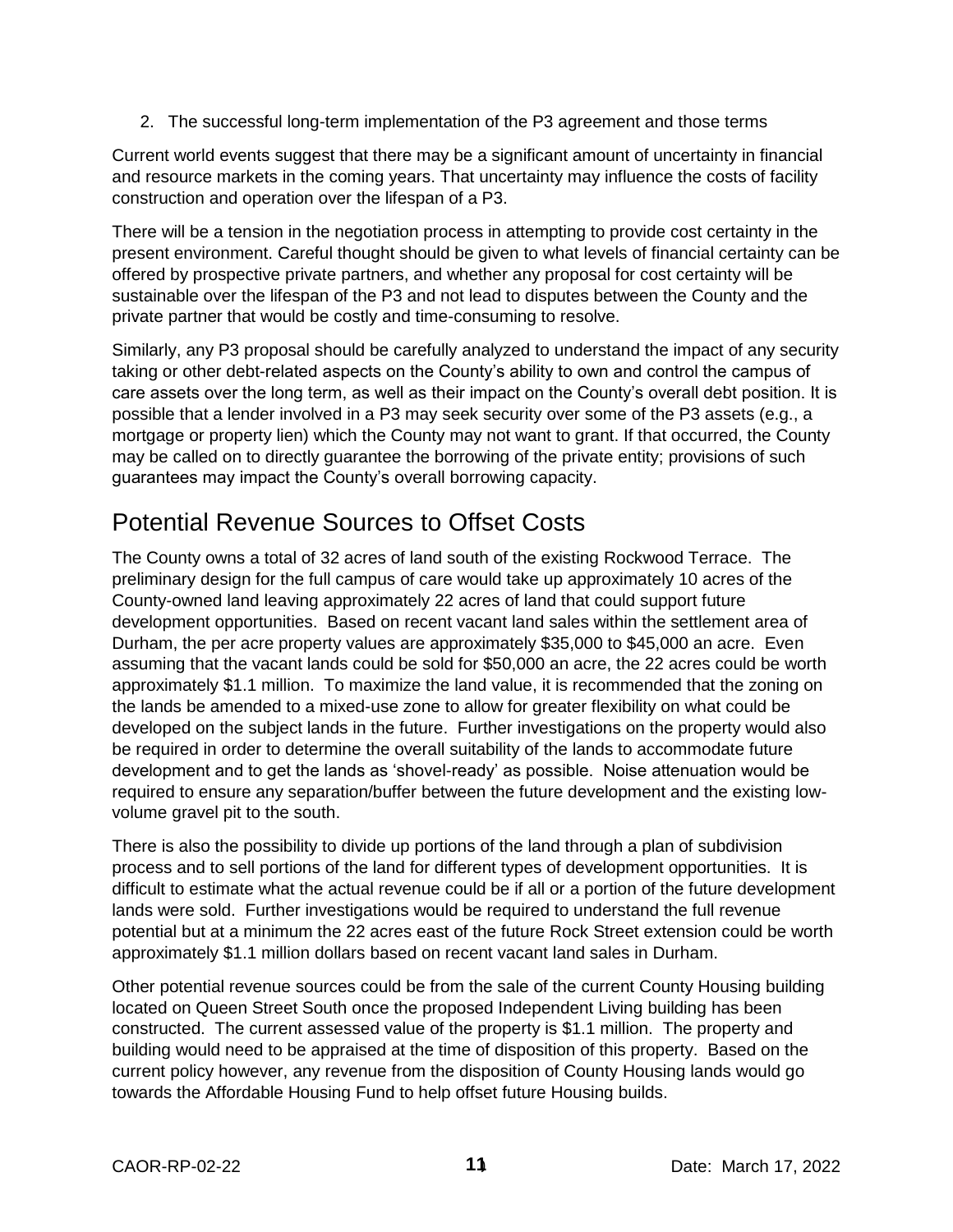2. The successful long-term implementation of the P3 agreement and those terms

Current world events suggest that there may be a significant amount of uncertainty in financial and resource markets in the coming years. That uncertainty may influence the costs of facility construction and operation over the lifespan of a P3.

There will be a tension in the negotiation process in attempting to provide cost certainty in the present environment. Careful thought should be given to what levels of financial certainty can be offered by prospective private partners, and whether any proposal for cost certainty will be sustainable over the lifespan of the P3 and not lead to disputes between the County and the private partner that would be costly and time-consuming to resolve.

Similarly, any P3 proposal should be carefully analyzed to understand the impact of any security taking or other debt-related aspects on the County's ability to own and control the campus of care assets over the long term, as well as their impact on the County's overall debt position. It is possible that a lender involved in a P3 may seek security over some of the P3 assets (e.g., a mortgage or property lien) which the County may not want to grant. If that occurred, the County may be called on to directly guarantee the borrowing of the private entity; provisions of such guarantees may impact the County's overall borrowing capacity.

## Potential Revenue Sources to Offset Costs

The County owns a total of 32 acres of land south of the existing Rockwood Terrace. The preliminary design for the full campus of care would take up approximately 10 acres of the County-owned land leaving approximately 22 acres of land that could support future development opportunities. Based on recent vacant land sales within the settlement area of Durham, the per acre property values are approximately \$35,000 to \$45,000 an acre. Even assuming that the vacant lands could be sold for \$50,000 an acre, the 22 acres could be worth approximately \$1.1 million. To maximize the land value, it is recommended that the zoning on the lands be amended to a mixed-use zone to allow for greater flexibility on what could be developed on the subject lands in the future. Further investigations on the property would also be required in order to determine the overall suitability of the lands to accommodate future development and to get the lands as 'shovel-ready' as possible. Noise attenuation would be required to ensure any separation/buffer between the future development and the existing lowvolume gravel pit to the south.

There is also the possibility to divide up portions of the land through a plan of subdivision process and to sell portions of the land for different types of development opportunities. It is difficult to estimate what the actual revenue could be if all or a portion of the future development lands were sold. Further investigations would be required to understand the full revenue potential but at a minimum the 22 acres east of the future Rock Street extension could be worth approximately \$1.1 million dollars based on recent vacant land sales in Durham.

Other potential revenue sources could be from the sale of the current County Housing building located on Queen Street South once the proposed Independent Living building has been constructed. The current assessed value of the property is \$1.1 million. The property and building would need to be appraised at the time of disposition of this property. Based on the current policy however, any revenue from the disposition of County Housing lands would go towards the Affordable Housing Fund to help offset future Housing builds.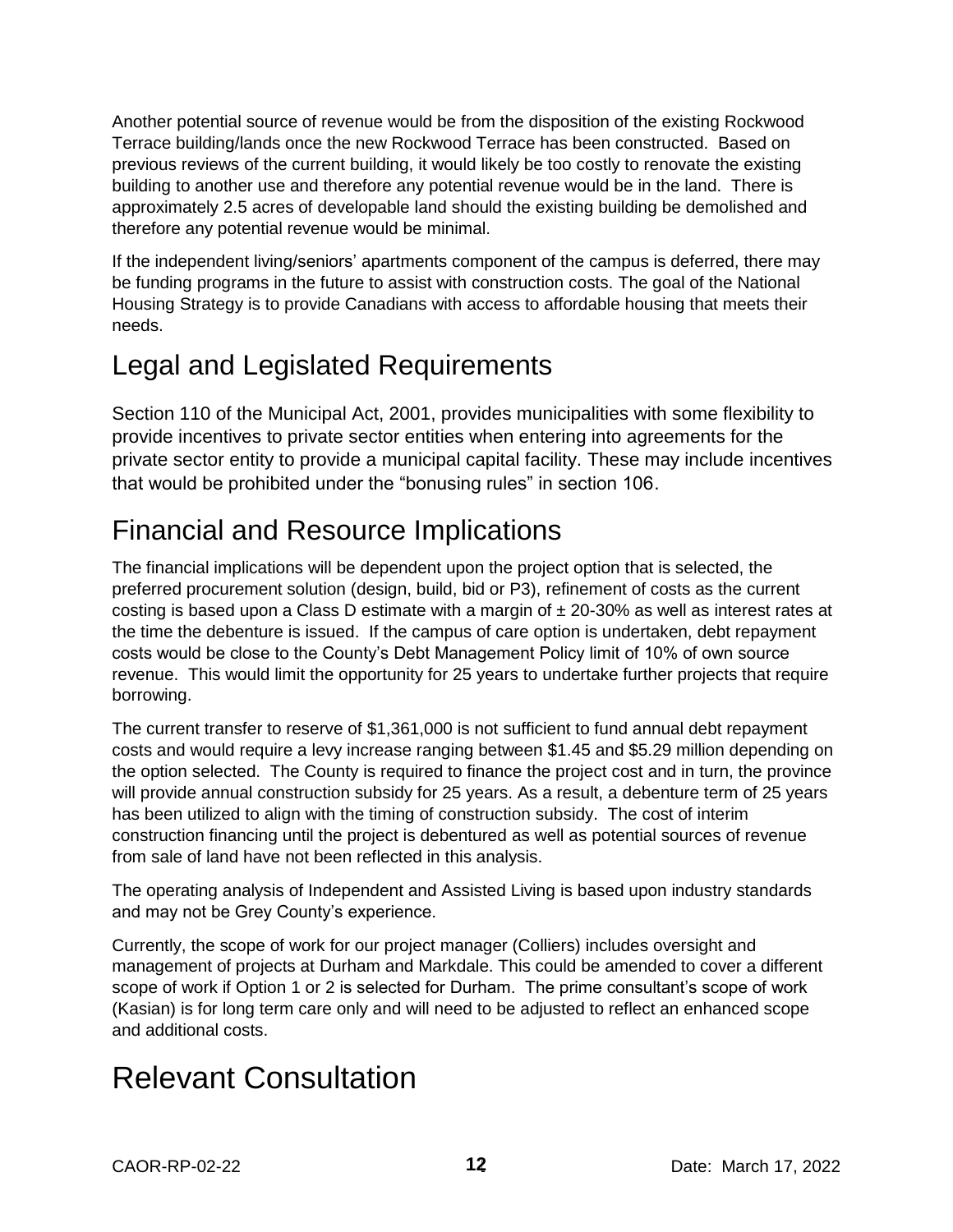Another potential source of revenue would be from the disposition of the existing Rockwood Terrace building/lands once the new Rockwood Terrace has been constructed. Based on previous reviews of the current building, it would likely be too costly to renovate the existing building to another use and therefore any potential revenue would be in the land. There is approximately 2.5 acres of developable land should the existing building be demolished and therefore any potential revenue would be minimal.

If the independent living/seniors' apartments component of the campus is deferred, there may be funding programs in the future to assist with construction costs. The goal of the National Housing Strategy is to provide Canadians with access to affordable housing that meets their needs.

# Legal and Legislated Requirements

Section 110 of the Municipal Act, 2001, provides municipalities with some flexibility to provide incentives to private sector entities when entering into agreements for the private sector entity to provide a municipal capital facility. These may include incentives that would be prohibited under the "bonusing rules" in section 106.

# Financial and Resource Implications

The financial implications will be dependent upon the project option that is selected, the preferred procurement solution (design, build, bid or P3), refinement of costs as the current costing is based upon a Class D estimate with a margin of  $\pm$  20-30% as well as interest rates at the time the debenture is issued. If the campus of care option is undertaken, debt repayment costs would be close to the County's Debt Management Policy limit of 10% of own source revenue. This would limit the opportunity for 25 years to undertake further projects that require borrowing.

The current transfer to reserve of \$1,361,000 is not sufficient to fund annual debt repayment costs and would require a levy increase ranging between \$1.45 and \$5.29 million depending on the option selected. The County is required to finance the project cost and in turn, the province will provide annual construction subsidy for 25 years. As a result, a debenture term of 25 years has been utilized to align with the timing of construction subsidy. The cost of interim construction financing until the project is debentured as well as potential sources of revenue from sale of land have not been reflected in this analysis.

The operating analysis of Independent and Assisted Living is based upon industry standards and may not be Grey County's experience.

Currently, the scope of work for our project manager (Colliers) includes oversight and management of projects at Durham and Markdale. This could be amended to cover a different scope of work if Option 1 or 2 is selected for Durham. The prime consultant's scope of work (Kasian) is for long term care only and will need to be adjusted to reflect an enhanced scope and additional costs.

# Relevant Consultation